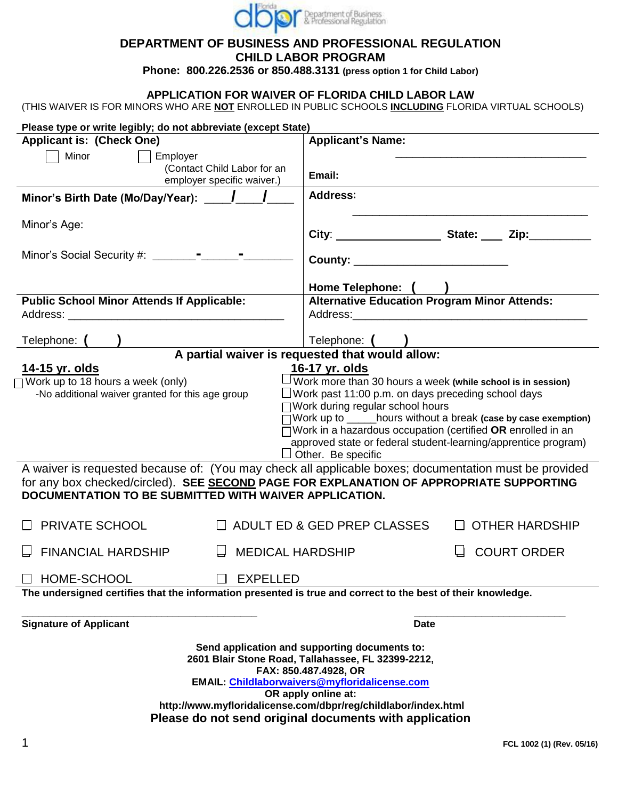

#### **DEPARTMENT OF BUSINESS AND PROFESSIONAL REGULATION CHILD LABOR PROGRAM**

**Phone: 800.226.2536 or 850.488.3131 (press option 1 for Child Labor)**

### **APPLICATION FOR WAIVER OF FLORIDA CHILD LABOR LAW**

(THIS WAIVER IS FOR MINORS WHO ARE **NOT** ENROLLED IN PUBLIC SCHOOLS **INCLUDING** FLORIDA VIRTUAL SCHOOLS)

| Please type or write legibly; do not abbreviate (except State)                                                                                    |                                                                                                                                                                                                                                |  |  |  |  |
|---------------------------------------------------------------------------------------------------------------------------------------------------|--------------------------------------------------------------------------------------------------------------------------------------------------------------------------------------------------------------------------------|--|--|--|--|
| <b>Applicant is: (Check One)</b>                                                                                                                  | <b>Applicant's Name:</b>                                                                                                                                                                                                       |  |  |  |  |
| Minor<br>Employer                                                                                                                                 |                                                                                                                                                                                                                                |  |  |  |  |
| (Contact Child Labor for an<br>employer specific waiver.)                                                                                         | Email:                                                                                                                                                                                                                         |  |  |  |  |
|                                                                                                                                                   | <b>Address:</b>                                                                                                                                                                                                                |  |  |  |  |
| Minor's Age:                                                                                                                                      |                                                                                                                                                                                                                                |  |  |  |  |
|                                                                                                                                                   | County: _______________________________                                                                                                                                                                                        |  |  |  |  |
|                                                                                                                                                   | Home Telephone: (                                                                                                                                                                                                              |  |  |  |  |
| <b>Public School Minor Attends If Applicable:</b>                                                                                                 | <b>Alternative Education Program Minor Attends:</b>                                                                                                                                                                            |  |  |  |  |
|                                                                                                                                                   | Address: Analysis and the contract of the contract of the contract of the contract of the contract of the contract of the contract of the contract of the contract of the contract of the contract of the contract of the cont |  |  |  |  |
| Telephone: (                                                                                                                                      | Telephone: ()                                                                                                                                                                                                                  |  |  |  |  |
|                                                                                                                                                   | A partial waiver is requested that would allow:                                                                                                                                                                                |  |  |  |  |
| <u>14-15 yr. olds</u>                                                                                                                             | 16-17 yr. olds                                                                                                                                                                                                                 |  |  |  |  |
| $\Box$ Work up to 18 hours a week (only)                                                                                                          | $\Box$ Work more than 30 hours a week (while school is in session)                                                                                                                                                             |  |  |  |  |
| -No additional waiver granted for this age group                                                                                                  | $\Box$ Work past 11:00 p.m. on days preceding school days<br>□Work during regular school hours                                                                                                                                 |  |  |  |  |
|                                                                                                                                                   | Work up to ____hours without a break (case by case exemption)                                                                                                                                                                  |  |  |  |  |
| $\Box$ Work in a hazardous occupation (certified OR enrolled in an                                                                                |                                                                                                                                                                                                                                |  |  |  |  |
| approved state or federal student-learning/apprentice program)                                                                                    |                                                                                                                                                                                                                                |  |  |  |  |
|                                                                                                                                                   | $\Box$ Other. Be specific                                                                                                                                                                                                      |  |  |  |  |
|                                                                                                                                                   | A waiver is requested because of: (You may check all applicable boxes; documentation must be provided                                                                                                                          |  |  |  |  |
| for any box checked/circled). SEE SECOND PAGE FOR EXPLANATION OF APPROPRIATE SUPPORTING<br>DOCUMENTATION TO BE SUBMITTED WITH WAIVER APPLICATION. |                                                                                                                                                                                                                                |  |  |  |  |
| PRIVATE SCHOOL                                                                                                                                    | □ ADULT ED & GED PREP CLASSES<br><b>OTHER HARDSHIP</b>                                                                                                                                                                         |  |  |  |  |
| <b>FINANCIAL HARDSHIP</b><br><b>MEDICAL HARDSHIP</b>                                                                                              | <b>COURT ORDER</b>                                                                                                                                                                                                             |  |  |  |  |
| <b>EXPELLED</b><br>HOME-SCHOOL                                                                                                                    |                                                                                                                                                                                                                                |  |  |  |  |
| The undersigned certifies that the information presented is true and correct to the best of their knowledge.                                      |                                                                                                                                                                                                                                |  |  |  |  |
|                                                                                                                                                   |                                                                                                                                                                                                                                |  |  |  |  |
| <b>Signature of Applicant</b>                                                                                                                     | <b>Date</b>                                                                                                                                                                                                                    |  |  |  |  |
| Send application and supporting documents to:                                                                                                     |                                                                                                                                                                                                                                |  |  |  |  |
| 2601 Blair Stone Road, Tallahassee, FL 32399-2212,                                                                                                |                                                                                                                                                                                                                                |  |  |  |  |
| FAX: 850.487.4928, OR<br>EMAIL: Childlaborwaivers@myfloridalicense.com                                                                            |                                                                                                                                                                                                                                |  |  |  |  |
| OR apply online at:                                                                                                                               |                                                                                                                                                                                                                                |  |  |  |  |
| http://www.myfloridalicense.com/dbpr/reg/childlabor/index.html                                                                                    |                                                                                                                                                                                                                                |  |  |  |  |
| Please do not send original documents with application                                                                                            |                                                                                                                                                                                                                                |  |  |  |  |